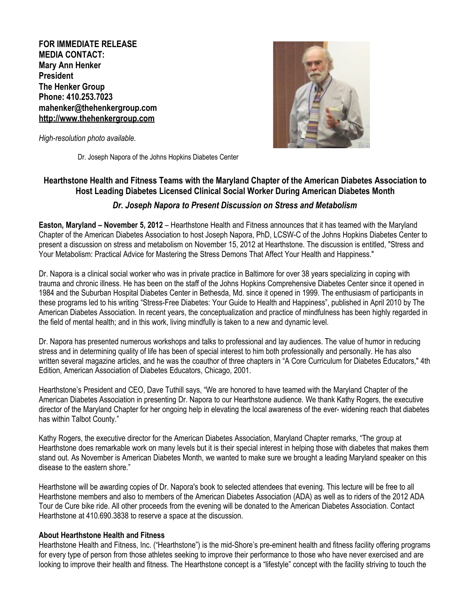**FOR IMMEDIATE RELEASE MEDIA CONTACT: Mary Ann Henker President The Henker Group Phone: 410.253.7023 [mahenker@thehenkergroup.com](mailto:elavi@alexorthopedic.com) [http://www.thehenkergroup.com](http://www.thehenkergroup.com/)**



*High-resolution photo available.*

Dr. Joseph Napora of the Johns Hopkins Diabetes Center

## **Hearthstone Health and Fitness Teams with the Maryland Chapter of the American Diabetes Association to Host Leading Diabetes Licensed Clinical Social Worker During American Diabetes Month**

## *Dr. Joseph Napora to Present Discussion on Stress and Metabolism*

**Easton, Maryland – November 5, 2012** – Hearthstone Health and Fitness announces that it has teamed with the Maryland Chapter of the American Diabetes Association to host Joseph Napora, PhD, LCSW-C of the Johns Hopkins Diabetes Center to present a discussion on stress and metabolism on November 15, 2012 at Hearthstone. The discussion is entitled, "Stress and Your Metabolism: Practical Advice for Mastering the Stress Demons That Affect Your Health and Happiness."

Dr. Napora is a clinical social worker who was in private practice in Baltimore for over 38 years specializing in coping with trauma and chronic illness. He has been on the staff of the Johns Hopkins Comprehensive Diabetes Center since it opened in 1984 and the Suburban Hospital Diabetes Center in Bethesda, Md. since it opened in 1999. The enthusiasm of participants in these programs led to his writing "Stress-Free Diabetes: Your Guide to Health and Happiness", published in April 2010 by The American Diabetes Association. In recent years, the conceptualization and practice of mindfulness has been highly regarded in the field of mental health; and in this work, living mindfully is taken to a new and dynamic level.

Dr. Napora has presented numerous workshops and talks to professional and lay audiences. The value of humor in reducing stress and in determining quality of life has been of special interest to him both professionally and personally. He has also written several magazine articles, and he was the coauthor of three chapters in "A Core Curriculum for Diabetes Educators," 4th Edition, American Association of Diabetes Educators, Chicago, 2001.

Hearthstone's President and CEO, Dave Tuthill says, "We are honored to have teamed with the Maryland Chapter of the American Diabetes Association in presenting Dr. Napora to our Hearthstone audience. We thank Kathy Rogers, the executive director of the Maryland Chapter for her ongoing help in elevating the local awareness of the ever- widening reach that diabetes has within Talbot County."

Kathy Rogers, the executive director for the American Diabetes Association, Maryland Chapter remarks, "The group at Hearthstone does remarkable work on many levels but it is their special interest in helping those with diabetes that makes them stand out. As November is American Diabetes Month, we wanted to make sure we brought a leading Maryland speaker on this disease to the eastern shore."

Hearthstone will be awarding copies of Dr. Napora's book to selected attendees that evening. This lecture will be free to all Hearthstone members and also to members of the American Diabetes Association (ADA) as well as to riders of the 2012 ADA Tour de Cure bike ride. All other proceeds from the evening will be donated to the American Diabetes Association. Contact Hearthstone at 410.690.3838 to reserve a space at the discussion.

## **About Hearthstone Health and Fitness**

Hearthstone Health and Fitness, Inc. ("Hearthstone") is the mid-Shore's pre-eminent health and fitness facility offering programs for every type of person from those athletes seeking to improve their performance to those who have never exercised and are looking to improve their health and fitness. The Hearthstone concept is a "lifestyle" concept with the facility striving to touch the